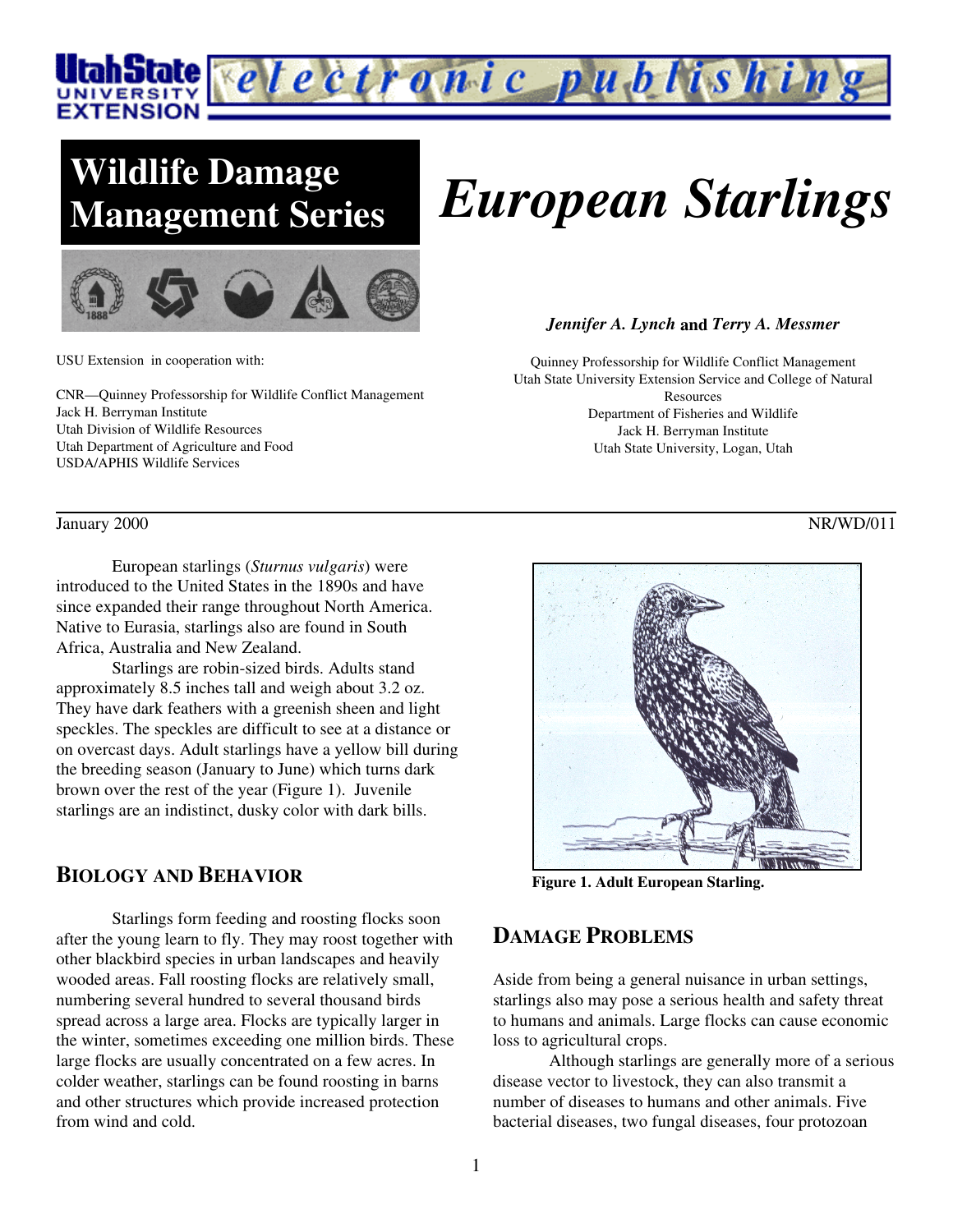

# **Wildlife Damage**



USU Extension in cooperation with:

CNR—Quinney Professorship for Wildlife Conflict Management Jack H. Berryman Institute Utah Division of Wildlife Resources Utah Department of Agriculture and Food USDA/APHIS Wildlife Services

# **Management Series** *European Starlings*

#### *Jennifer A. Lynch* **and** *Terry A. Messmer*

Quinney Professorship for Wildlife Conflict Management Utah State University Extension Service and College of Natural Resources Department of Fisheries and Wildlife Jack H. Berryman Institute Utah State University, Logan, Utah

January 2000 NR/WD/011

European starlings (*Sturnus vulgaris*) were introduced to the United States in the 1890s and have since expanded their range throughout North America. Native to Eurasia, starlings also are found in South Africa, Australia and New Zealand.

Starlings are robin-sized birds. Adults stand approximately 8.5 inches tall and weigh about 3.2 oz. They have dark feathers with a greenish sheen and light speckles. The speckles are difficult to see at a distance or on overcast days. Adult starlings have a yellow bill during the breeding season (January to June) which turns dark brown over the rest of the year (Figure 1). Juvenile starlings are an indistinct, dusky color with dark bills.

#### **BIOLOGY AND BEHAVIOR**

Starlings form feeding and roosting flocks soon after the young learn to fly. They may roost together with other blackbird species in urban landscapes and heavily wooded areas. Fall roosting flocks are relatively small, numbering several hundred to several thousand birds spread across a large area. Flocks are typically larger in the winter, sometimes exceeding one million birds. These large flocks are usually concentrated on a few acres. In colder weather, starlings can be found roosting in barns and other structures which provide increased protection from wind and cold.



**Figure 1. Adult European Starling.**

### **DAMAGE PROBLEMS**

Aside from being a general nuisance in urban settings, starlings also may pose a serious health and safety threat to humans and animals. Large flocks can cause economic loss to agricultural crops.

Although starlings are generally more of a serious disease vector to livestock, they can also transmit a number of diseases to humans and other animals. Five bacterial diseases, two fungal diseases, four protozoan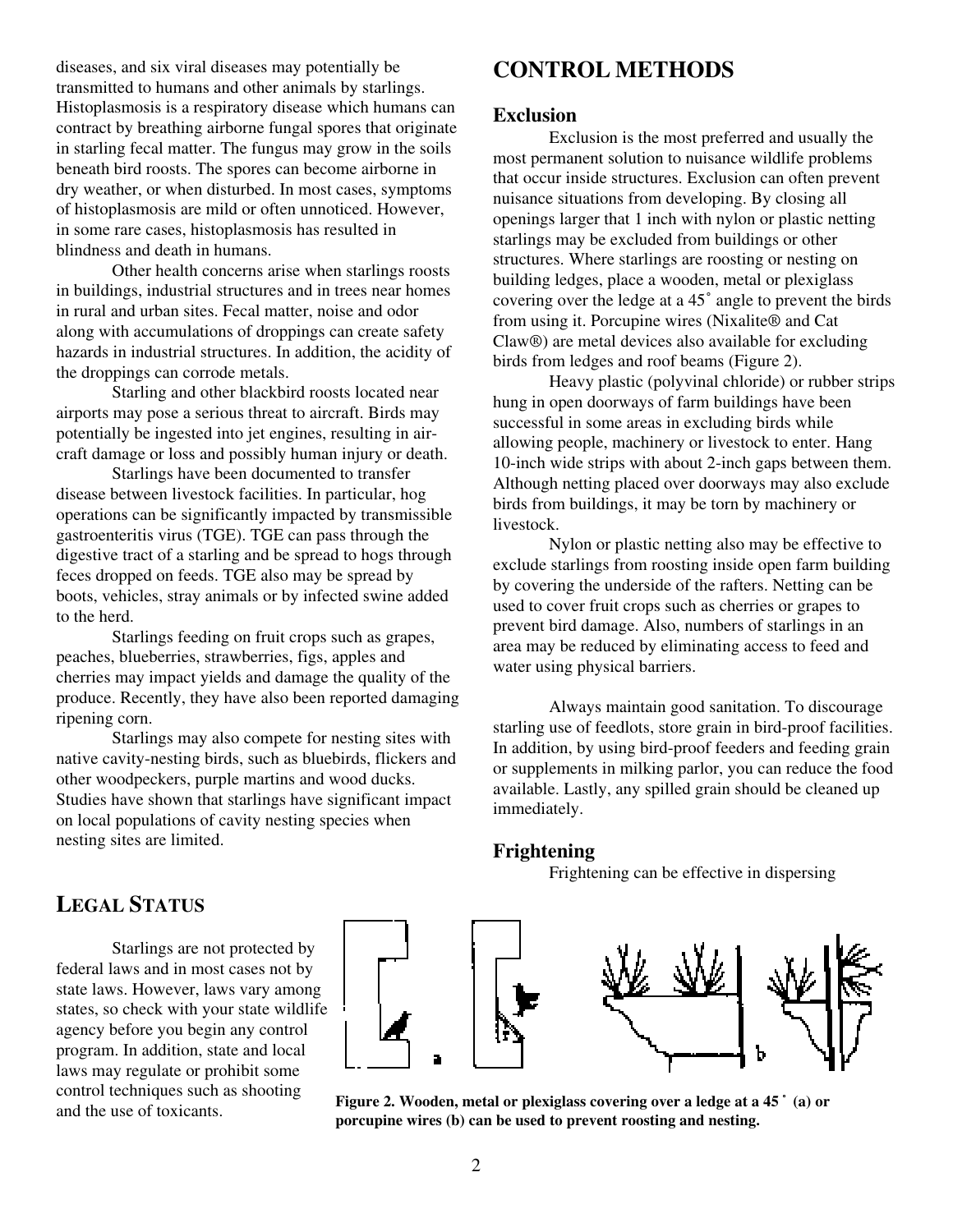diseases, and six viral diseases may potentially be transmitted to humans and other animals by starlings. Histoplasmosis is a respiratory disease which humans can contract by breathing airborne fungal spores that originate in starling fecal matter. The fungus may grow in the soils beneath bird roosts. The spores can become airborne in dry weather, or when disturbed. In most cases, symptoms of histoplasmosis are mild or often unnoticed. However, in some rare cases, histoplasmosis has resulted in blindness and death in humans.

Other health concerns arise when starlings roosts in buildings, industrial structures and in trees near homes in rural and urban sites. Fecal matter, noise and odor along with accumulations of droppings can create safety hazards in industrial structures. In addition, the acidity of the droppings can corrode metals.

Starling and other blackbird roosts located near airports may pose a serious threat to aircraft. Birds may potentially be ingested into jet engines, resulting in aircraft damage or loss and possibly human injury or death.

Starlings have been documented to transfer disease between livestock facilities. In particular, hog operations can be significantly impacted by transmissible gastroenteritis virus (TGE). TGE can pass through the digestive tract of a starling and be spread to hogs through feces dropped on feeds. TGE also may be spread by boots, vehicles, stray animals or by infected swine added to the herd.

Starlings feeding on fruit crops such as grapes, peaches, blueberries, strawberries, figs, apples and cherries may impact yields and damage the quality of the produce. Recently, they have also been reported damaging ripening corn.

Starlings may also compete for nesting sites with native cavity-nesting birds, such as bluebirds, flickers and other woodpeckers, purple martins and wood ducks. Studies have shown that starlings have significant impact on local populations of cavity nesting species when nesting sites are limited.

# **CONTROL METHODS**

#### **Exclusion**

Exclusion is the most preferred and usually the most permanent solution to nuisance wildlife problems that occur inside structures. Exclusion can often prevent nuisance situations from developing. By closing all openings larger that 1 inch with nylon or plastic netting starlings may be excluded from buildings or other structures. Where starlings are roosting or nesting on building ledges, place a wooden, metal or plexiglass covering over the ledge at a 45° angle to prevent the birds from using it. Porcupine wires (Nixalite® and Cat Claw®) are metal devices also available for excluding birds from ledges and roof beams (Figure 2).

Heavy plastic (polyvinal chloride) or rubber strips hung in open doorways of farm buildings have been successful in some areas in excluding birds while allowing people, machinery or livestock to enter. Hang 10-inch wide strips with about 2-inch gaps between them. Although netting placed over doorways may also exclude birds from buildings, it may be torn by machinery or livestock.

Nylon or plastic netting also may be effective to exclude starlings from roosting inside open farm building by covering the underside of the rafters. Netting can be used to cover fruit crops such as cherries or grapes to prevent bird damage. Also, numbers of starlings in an area may be reduced by eliminating access to feed and water using physical barriers.

Always maintain good sanitation. To discourage starling use of feedlots, store grain in bird-proof facilities. In addition, by using bird-proof feeders and feeding grain or supplements in milking parlor, you can reduce the food available. Lastly, any spilled grain should be cleaned up immediately.

#### **Frightening**

Frightening can be effective in dispersing



Starlings are not protected by federal laws and in most cases not by state laws. However, laws vary among states, so check with your state wildlife agency before you begin any control program. In addition, state and local laws may regulate or prohibit some control techniques such as shooting and the use of toxicants.



**Figure 2. Wooden, metal or plexiglass covering over a ledge at a 45 (a) or porcupine wires (b) can be used to prevent roosting and nesting.**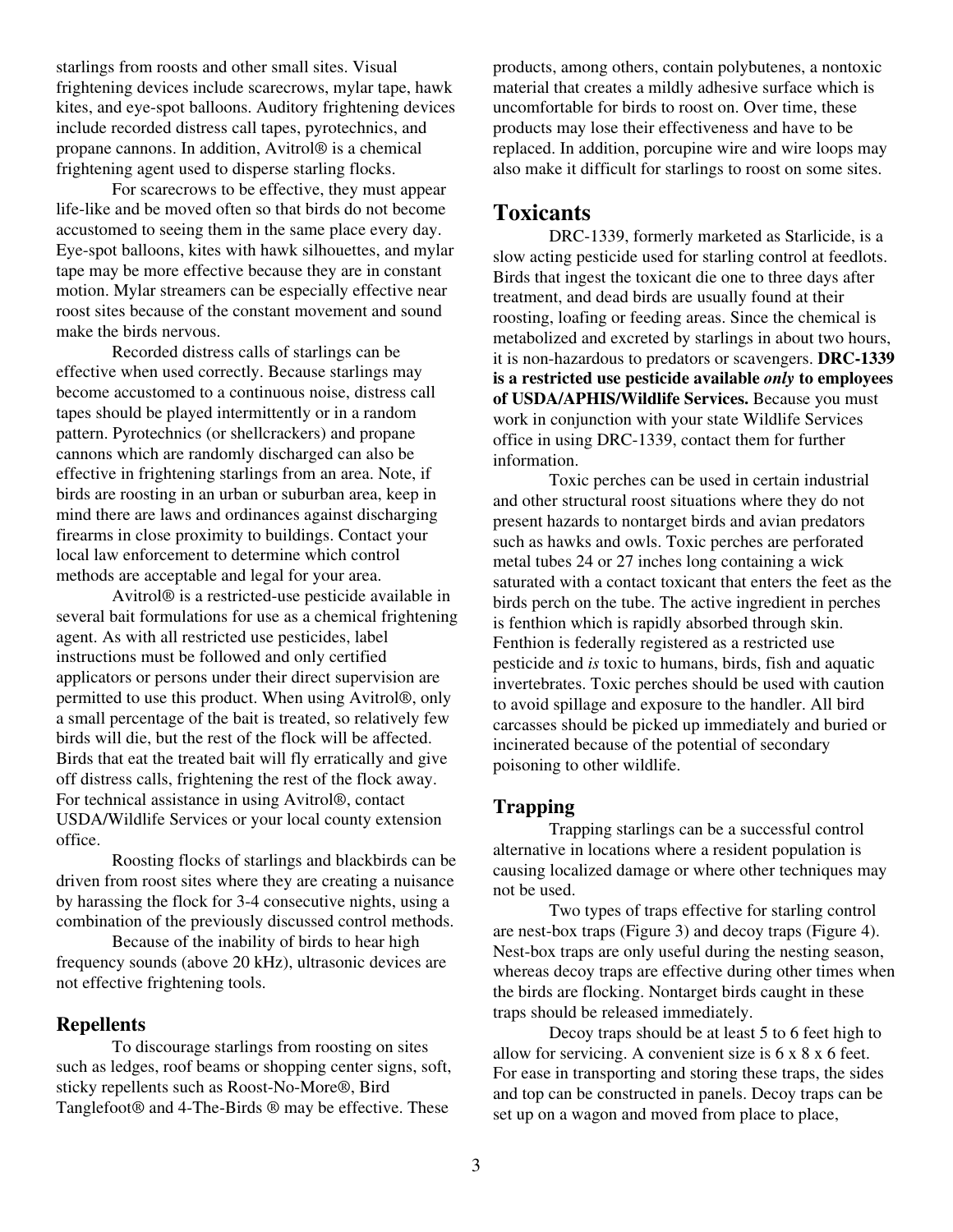starlings from roosts and other small sites. Visual frightening devices include scarecrows, mylar tape, hawk kites, and eye-spot balloons. Auditory frightening devices include recorded distress call tapes, pyrotechnics, and propane cannons. In addition, Avitrol® is a chemical frightening agent used to disperse starling flocks.

For scarecrows to be effective, they must appear life-like and be moved often so that birds do not become accustomed to seeing them in the same place every day. Eye-spot balloons, kites with hawk silhouettes, and mylar tape may be more effective because they are in constant motion. Mylar streamers can be especially effective near roost sites because of the constant movement and sound make the birds nervous.

Recorded distress calls of starlings can be effective when used correctly. Because starlings may become accustomed to a continuous noise, distress call tapes should be played intermittently or in a random pattern. Pyrotechnics (or shellcrackers) and propane cannons which are randomly discharged can also be effective in frightening starlings from an area. Note, if birds are roosting in an urban or suburban area, keep in mind there are laws and ordinances against discharging firearms in close proximity to buildings. Contact your local law enforcement to determine which control methods are acceptable and legal for your area.

Avitrol® is a restricted-use pesticide available in several bait formulations for use as a chemical frightening agent. As with all restricted use pesticides, label instructions must be followed and only certified applicators or persons under their direct supervision are permitted to use this product. When using Avitrol®, only a small percentage of the bait is treated, so relatively few birds will die, but the rest of the flock will be affected. Birds that eat the treated bait will fly erratically and give off distress calls, frightening the rest of the flock away. For technical assistance in using Avitrol®, contact USDA/Wildlife Services or your local county extension office.

Roosting flocks of starlings and blackbirds can be driven from roost sites where they are creating a nuisance by harassing the flock for 3-4 consecutive nights, using a combination of the previously discussed control methods.

Because of the inability of birds to hear high frequency sounds (above 20 kHz), ultrasonic devices are not effective frightening tools.

#### **Repellents**

To discourage starlings from roosting on sites such as ledges, roof beams or shopping center signs, soft, sticky repellents such as Roost-No-More®, Bird Tanglefoot® and 4-The-Birds ® may be effective. These

products, among others, contain polybutenes, a nontoxic material that creates a mildly adhesive surface which is uncomfortable for birds to roost on. Over time, these products may lose their effectiveness and have to be replaced. In addition, porcupine wire and wire loops may also make it difficult for starlings to roost on some sites.

## **Toxicants**

DRC-1339, formerly marketed as Starlicide, is a slow acting pesticide used for starling control at feedlots. Birds that ingest the toxicant die one to three days after treatment, and dead birds are usually found at their roosting, loafing or feeding areas. Since the chemical is metabolized and excreted by starlings in about two hours, it is non-hazardous to predators or scavengers. **DRC-1339 is a restricted use pesticide available** *only* **to employees of USDA/APHIS/Wildlife Services.** Because you must work in conjunction with your state Wildlife Services office in using DRC-1339, contact them for further information.

Toxic perches can be used in certain industrial and other structural roost situations where they do not present hazards to nontarget birds and avian predators such as hawks and owls. Toxic perches are perforated metal tubes 24 or 27 inches long containing a wick saturated with a contact toxicant that enters the feet as the birds perch on the tube. The active ingredient in perches is fenthion which is rapidly absorbed through skin. Fenthion is federally registered as a restricted use pesticide and *is* toxic to humans, birds, fish and aquatic invertebrates. Toxic perches should be used with caution to avoid spillage and exposure to the handler. All bird carcasses should be picked up immediately and buried or incinerated because of the potential of secondary poisoning to other wildlife.

#### **Trapping**

Trapping starlings can be a successful control alternative in locations where a resident population is causing localized damage or where other techniques may not be used.

Two types of traps effective for starling control are nest-box traps (Figure 3) and decoy traps (Figure 4). Nest-box traps are only useful during the nesting season, whereas decoy traps are effective during other times when the birds are flocking. Nontarget birds caught in these traps should be released immediately.

Decoy traps should be at least 5 to 6 feet high to allow for servicing. A convenient size is 6 x 8 x 6 feet. For ease in transporting and storing these traps, the sides and top can be constructed in panels. Decoy traps can be set up on a wagon and moved from place to place,